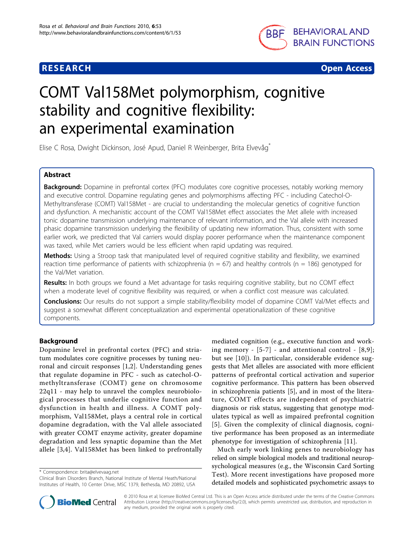

**RESEARCH CONTROL** CONTROL CONTROL CONTROL CONTROL CONTROL CONTROL CONTROL CONTROL CONTROL CONTROL CONTROL CONTROL

# COMT Val158Met polymorphism, cognitive stability and cognitive flexibility: an experimental examination

Elise C Rosa, Dwight Dickinson, José Apud, Daniel R Weinberger, Brita Elvevåg<sup>\*</sup>

# Abstract

Background: Dopamine in prefrontal cortex (PFC) modulates core cognitive processes, notably working memory and executive control. Dopamine regulating genes and polymorphisms affecting PFC - including Catechol-O-Methyltransferase (COMT) Val158Met - are crucial to understanding the molecular genetics of cognitive function and dysfunction. A mechanistic account of the COMT Val158Met effect associates the Met allele with increased tonic dopamine transmission underlying maintenance of relevant information, and the Val allele with increased phasic dopamine transmission underlying the flexibility of updating new information. Thus, consistent with some earlier work, we predicted that Val carriers would display poorer performance when the maintenance component was taxed, while Met carriers would be less efficient when rapid updating was required.

Methods: Using a Stroop task that manipulated level of required cognitive stability and flexibility, we examined reaction time performance of patients with schizophrenia ( $n = 67$ ) and healthy controls ( $n = 186$ ) genotyped for the Val/Met variation.

Results: In both groups we found a Met advantage for tasks requiring cognitive stability, but no COMT effect when a moderate level of cognitive flexibility was required, or when a conflict cost measure was calculated.

Conclusions: Our results do not support a simple stability/flexibility model of dopamine COMT Val/Met effects and suggest a somewhat different conceptualization and experimental operationalization of these cognitive components.

# Background

Dopamine level in prefrontal cortex (PFC) and striatum modulates core cognitive processes by tuning neuronal and circuit responses [[1,2](#page-5-0)]. Understanding genes that regulate dopamine in PFC - such as catechol-Omethyltransferase (COMT) gene on chromosome 22q11 - may help to unravel the complex neurobiological processes that underlie cognitive function and dysfunction in health and illness. A COMT polymorphism, Val158Met, plays a central role in cortical dopamine degradation, with the Val allele associated with greater COMT enzyme activity, greater dopamine degradation and less synaptic dopamine than the Met allele [[3,4](#page-5-0)]. Val158Met has been linked to prefrontally

\* Correspondence: [brita@elvevaag.net](mailto:brita@elvevaag.net)

mediated cognition (e.g., executive function and working memory  $-$  [[5](#page-5-0)-[7](#page-5-0)] - and attentional control - [[8](#page-5-0),[9\]](#page-5-0); but see [\[10](#page-5-0)]). In particular, considerable evidence suggests that Met alleles are associated with more efficient patterns of prefrontal cortical activation and superior cognitive performance. This pattern has been observed in schizophrenia patients [[5](#page-5-0)], and in most of the literature, COMT effects are independent of psychiatric diagnosis or risk status, suggesting that genotype modulates typical as well as impaired prefrontal cognition [[5](#page-5-0)]. Given the complexity of clinical diagnosis, cognitive performance has been proposed as an intermediate phenotype for investigation of schizophrenia [\[11](#page-5-0)].

Much early work linking genes to neurobiology has relied on simple biological models and traditional neuropsychological measures (e.g., the Wisconsin Card Sorting Test). More recent investigations have proposed more detailed models and sophisticated psychometric assays to



© 2010 Rosa et al; licensee BioMed Central Ltd. This is an Open Access article distributed under the terms of the Creative Commons Attribution License [\(http://creativecommons.org/licenses/by/2.0](http://creativecommons.org/licenses/by/2.0)), which permits unrestricted use, distribution, and reproduction in any medium, provided the original work is properly cited.

Clinical Brain Disorders Branch, National Institute of Mental Heath/National Institutes of Health, 10 Center Drive, MSC 1379, Bethesda, MD 20892, USA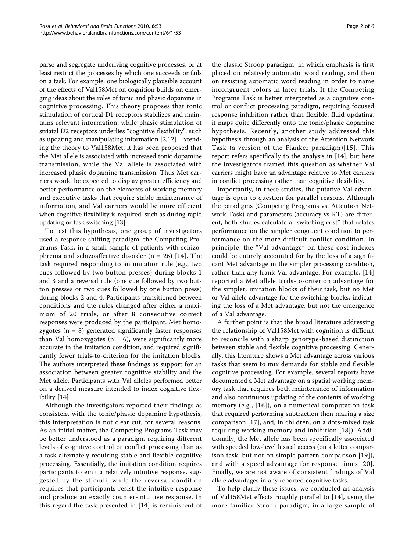parse and segregate underlying cognitive processes, or at least restrict the processes by which one succeeds or fails on a task. For example, one biologically plausible account of the effects of Val158Met on cognition builds on emerging ideas about the roles of tonic and phasic dopamine in cognitive processing. This theory proposes that tonic stimulation of cortical D1 receptors stabilizes and maintains relevant information, while phasic stimulation of striatal D2 receptors underlies "cognitive flexibility", such as updating and manipulating information [[2,12\]](#page-5-0). Extending the theory to Val158Met, it has been proposed that the Met allele is associated with increased tonic dopamine transmission, while the Val allele is associated with increased phasic dopamine transmission. Thus Met carriers would be expected to display greater efficiency and better performance on the elements of working memory and executive tasks that require stable maintenance of information, and Val carriers would be more efficient when cognitive flexibility is required, such as during rapid updating or task switching [[13](#page-5-0)].

To test this hypothesis, one group of investigators used a response shifting paradigm, the Competing Programs Task, in a small sample of patients with schizophrenia and schizoaffective disorder ( $n = 26$ ) [[14](#page-5-0)]. The task required responding to an imitation rule (e.g., two cues followed by two button presses) during blocks 1 and 3 and a reversal rule (one cue followed by two button presses or two cues followed by one button press) during blocks 2 and 4. Participants transitioned between conditions and the rules changed after either a maximum of 20 trials, or after 8 consecutive correct responses were produced by the participant. Met homozygotes  $(n = 8)$  generated significantly faster responses than Val homozygotes ( $n = 6$ ), were significantly more accurate in the imitation condition, and required significantly fewer trials-to-criterion for the imitation blocks. The authors interpreted these findings as support for an association between greater cognitive stability and the Met allele. Participants with Val alleles performed better on a derived measure intended to index cognitive flexibility [[14\]](#page-5-0).

Although the investigators reported their findings as consistent with the tonic/phasic dopamine hypothesis, this interpretation is not clear cut, for several reasons. As an initial matter, the Competing Programs Task may be better understood as a paradigm requiring different levels of cognitive control or conflict processing than as a task alternately requiring stable and flexible cognitive processing. Essentially, the imitation condition requires participants to emit a relatively intuitive response, suggested by the stimuli, while the reversal condition requires that participants resist the intuitive response and produce an exactly counter-intuitive response. In this regard the task presented in [\[14\]](#page-5-0) is reminiscent of

the classic Stroop paradigm, in which emphasis is first placed on relatively automatic word reading, and then on resisting automatic word reading in order to name incongruent colors in later trials. If the Competing Programs Task is better interpreted as a cognitive control or conflict processing paradigm, requiring focused response inhibition rather than flexible, fluid updating, it maps quite differently onto the tonic/phasic dopamine hypothesis. Recently, another study addressed this hypothesis through an analysis of the Attention Network Task (a version of the Flanker paradigm)[[15\]](#page-5-0). This report refers specifically to the analysis in [\[14\]](#page-5-0), but here

in conflict processing rather than cognitive flexibility. Importantly, in these studies, the putative Val advantage is open to question for parallel reasons. Although the paradigms (Competing Programs vs. Attention Network Task) and parameters (accuracy vs RT) are different, both studies calculate a "switching cost" that relates performance on the simpler congruent condition to performance on the more difficult conflict condition. In principle, the "Val advantage" on these cost indexes could be entirely accounted for by the loss of a significant Met advantage in the simpler processing condition, rather than any frank Val advantage. For example, [\[14](#page-5-0)] reported a Met allele trials-to-criterion advantage for the simpler, imitation blocks of their task, but no Met or Val allele advantage for the switching blocks, indicating the loss of a Met advantage, but not the emergence of a Val advantage.

the investigators framed this question as whether Val carriers might have an advantage relative to Met carriers

A further point is that the broad literature addressing the relationship of Val158Met with cognition is difficult to reconcile with a sharp genotype-based distinction between stable and flexible cognitive processing. Generally, this literature shows a Met advantage across various tasks that seem to mix demands for stable and flexible cognitive processing. For example, several reports have documented a Met advantage on a spatial working memory task that requires both maintenance of information and also continuous updating of the contents of working memory (e.g., [[16](#page-5-0)]), on a numerical computation task that required performing subtraction then making a size comparison [\[17](#page-5-0)], and, in children, on a dots-mixed task requiring working memory and inhibition [[18\]](#page-5-0)). Additionally, the Met allele has been specifically associated with speeded low-level lexical access (on a letter comparison task, but not on simple pattern comparison [\[19\]](#page-5-0)), and with a speed advantage for response times [[20\]](#page-5-0). Finally, we are not aware of consistent findings of Val allele advantages in any reported cognitive tasks.

To help clarify these issues, we conducted an analysis of Val158Met effects roughly parallel to [[14\]](#page-5-0), using the more familiar Stroop paradigm, in a large sample of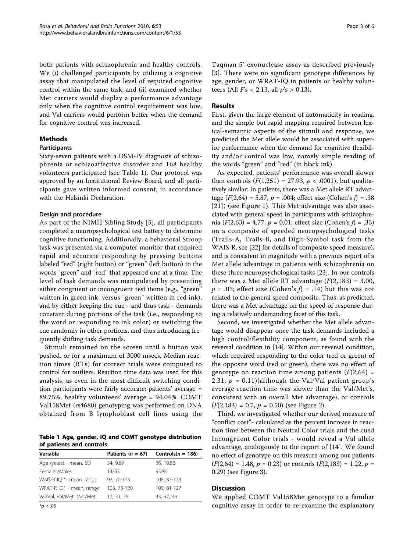both patients with schizophrenia and healthy controls. We (i) challenged participants by utilizing a cognitive assay that manipulated the level of required cognitive control within the same task, and (ii) examined whether Met carriers would display a performance advantage only when the cognitive control requirement was low, and Val carriers would perform better when the demand for cognitive control was increased.

# Methods

# Participants

Sixty-seven patients with a DSM-IV diagnosis of schizophrenia or schizoaffective disorder and 168 healthy volunteers participated (see Table 1). Our protocol was approved by an Institutional Review Board, and all participants gave written informed consent, in accordance with the Helsinki Declaration.

# Design and procedure

As part of the NIMH Sibling Study [[5](#page-5-0)], all participants completed a neuropsychological test battery to determine cognitive functioning. Additionally, a behavioral Stroop task was presented via a computer monitor that required rapid and accurate responding by pressing buttons labeled "red" (right button) or "green" (left button) to the words "green" and "red" that appeared one at a time. The level of task demands was manipulated by presenting either congruent or incongruent test items (e.g., "green" written in green ink, versus "green" written in red ink), and by either keeping the cue - and thus task - demands constant during portions of the task (i.e., responding to the word or responding to ink color) or switching the cue randomly in other portions, and thus introducing frequently shifting task demands.

Stimuli remained on the screen until a button was pushed, or for a maximum of 3000 msecs. Median reaction times (RTs) for correct trials were computed to control for outliers. Reaction time data was used for this analysis, as even in the most difficult switching condition participants were fairly accurate: patients' average = 89.75%, healthy volunteers' average = 94.04%. COMT Val158Met (rs4680) genotyping was performed on DNA obtained from B lymphoblast cell lines using the

Table 1 Age, gender, IQ and COMT genotype distribution of patients and controls

| Variable                  | Patients ( $n = 67$ ) | Controls( $n = 186$ ) |
|---------------------------|-----------------------|-----------------------|
| Age (years) - mean, SD    | 34, 9.89              | 36, 10.88             |
| Females/Males             | 14/53                 | 95/91                 |
| WAIS-R IQ *- mean, range  | 93, 70-113            | 108, 87-129           |
| WRAT-R IQ* - mean, range  | 103, 73-120           | 109, 81-127           |
| Val/Val, Val/Met, Met/Met | 17, 31, 19            | 43, 97, 46            |

 $*_{p}$  < .05

Taqman 5′-exonuclease assay as described previously [[3](#page-5-0)]. There were no significant genotype differences by age, gender, or WRAT-IQ in patients or healthy volunteers (All  $Fs < 2.13$ , all  $p's > 0.13$ ).

# Results

First, given the large element of automaticity in reading, and the simple but rapid mapping required between lexical-semantic aspects of the stimuli and response, we predicted the Met allele would be associated with superior performance when the demand for cognitive flexibility and/or control was low, namely simple reading of the words "green" and "red" (in black ink).

As expected, patients' performance was overall slower than controls  $(F(1,251) = 27.93, p < .0001)$ , but qualitatively similar: In patients, there was a Met allele RT advantage  $(F(2,64) = 5.87, p = .004;$  effect size (Cohen's  $f = .38$ ) [[21](#page-5-0)]) (see Figure [1\)](#page-3-0). This Met advantage was also associated with general speed in participants with schizophrenia ( $F(2,63) = 4.77$ ,  $p = 0.01$ ; effect size (Cohen's  $f = .33$ ) on a composite of speeded neuropsychological tasks (Trails-A, Trails-B, and Digit-Symbol task from the WAIS-R, see [\[22\]](#page-5-0) for details of composite speed measure), and is consistent in magnitude with a previous report of a Met allele advantage in patients with schizophrenia on these three neuropsychological tasks [\[23\]](#page-5-0). In our controls there was a Met allele RT advantage  $(F(2,183) = 3.00,$  $p = .05$ ; effect size (Cohen's  $f$ ) = .14) but this was not related to the general speed composite. Thus, as predicted, there was a Met advantage on the speed of response during a relatively undemanding facet of this task.

Second, we investigated whether the Met allele advantage would disappear once the task demands included a high control/flexibility component, as found with the reversal condition in [[14](#page-5-0)]. Within our reversal condition, which required responding to the color (red or green) of the opposite word (red or green), there was no effect of genotype on reaction time among patients  $(F(2,64) =$ 2.31,  $p = 0.11$ )(although the Val/Val patient group's average reaction time was slower than the Val/Met's, consistent with an overall Met advantage), or controls  $(F(2,183) = 0.7, p = 0.50)$  (see Figure [2\)](#page-3-0).

Third, we investigated whether our derived measure of "conflict cost"- calculated as the percent increase in reaction time between the Neutral Color trials and the cued Incongruent Color trials - would reveal a Val allele advantage, analogously to the report of [\[14\]](#page-5-0). We found no effect of genotype on this measure among our patients  $(F(2,64) = 1.48, p = 0.23)$  or controls  $(F(2,183) = 1.22, p = 1.48, p = 0.23)$ 0.29) (see Figure [3\)](#page-4-0).

# Discussion

We applied COMT Val158Met genotype to a familiar cognitive assay in order to re-examine the explanatory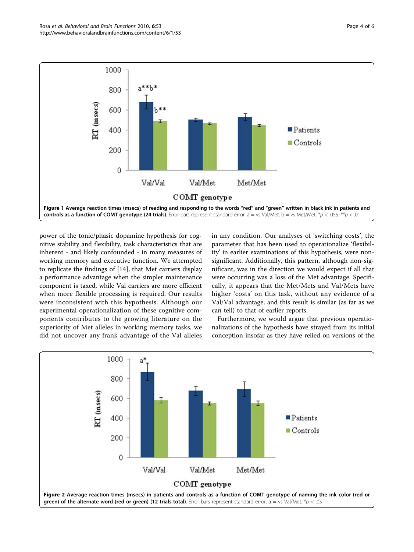<span id="page-3-0"></span>

power of the tonic/phasic dopamine hypothesis for cognitive stability and flexibility, task characteristics that are inherent - and likely confounded - in many measures of working memory and executive function. We attempted to replicate the findings of [[14\]](#page-5-0), that Met carriers display a performance advantage when the simpler maintenance component is taxed, while Val carriers are more efficient when more flexible processing is required. Our results were inconsistent with this hypothesis. Although our experimental operationalization of these cognitive components contributes to the growing literature on the superiority of Met alleles in working memory tasks, we did not uncover any frank advantage of the Val alleles

in any condition. Our analyses of 'switching costs', the parameter that has been used to operationalize 'flexibility' in earlier examinations of this hypothesis, were nonsignificant. Additionally, this pattern, although non-significant, was in the direction we would expect if all that were occurring was a loss of the Met advantage. Specifically, it appears that the Met/Mets and Val/Mets have higher 'costs' on this task, without any evidence of a Val/Val advantage, and this result is similar (as far as we can tell) to that of earlier reports.

Furthermore, we would argue that previous operationalizations of the hypothesis have strayed from its initial conception insofar as they have relied on versions of the

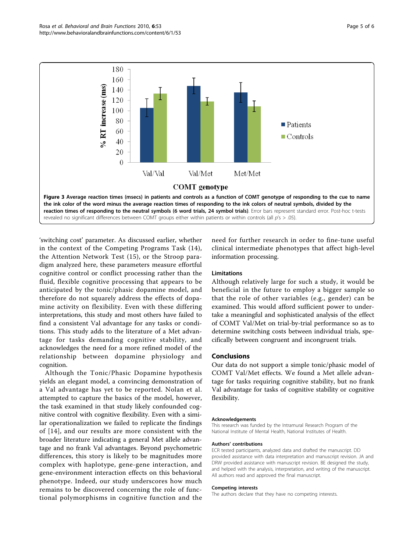<span id="page-4-0"></span>

'switching cost' parameter. As discussed earlier, whether in the context of the Competing Programs Task (14), the Attention Network Test (15), or the Stroop paradigm analyzed here, these parameters measure effortful cognitive control or conflict processing rather than the fluid, flexible cognitive processing that appears to be anticipated by the tonic/phasic dopamine model, and therefore do not squarely address the effects of dopamine activity on flexibility. Even with these differing interpretations, this study and most others have failed to find a consistent Val advantage for any tasks or conditions. This study adds to the literature of a Met advantage for tasks demanding cognitive stability, and acknowledges the need for a more refined model of the relationship between dopamine physiology and cognition.

Although the Tonic/Phasic Dopamine hypothesis yields an elegant model, a convincing demonstration of a Val advantage has yet to be reported. Nolan et al. attempted to capture the basics of the model, however, the task examined in that study likely confounded cognitive control with cognitive flexibility. Even with a similar operationalization we failed to replicate the findings of [\[14\]](#page-5-0), and our results are more consistent with the broader literature indicating a general Met allele advantage and no frank Val advantages. Beyond psychometric differences, this story is likely to be magnitudes more complex with haplotype, gene-gene interaction, and gene-environment interaction effects on this behavioral phenotype. Indeed, our study underscores how much remains to be discovered concerning the role of functional polymorphisms in cognitive function and the

need for further research in order to fine-tune useful clinical intermediate phenotypes that affect high-level information processing.

# Limitations

Although relatively large for such a study, it would be beneficial in the future to employ a bigger sample so that the role of other variables (e.g., gender) can be examined. This would afford sufficient power to undertake a meaningful and sophisticated analysis of the effect of COMT Val/Met on trial-by-trial performance so as to determine switching costs between individual trials, specifically between congruent and incongruent trials.

# Conclusions

Our data do not support a simple tonic/phasic model of COMT Val/Met effects. We found a Met allele advantage for tasks requiring cognitive stability, but no frank Val advantage for tasks of cognitive stability or cognitive flexibility.

### Acknowledgements

This research was funded by the Intramural Research Program of the National Institute of Mental Health, National Institutes of Health.

#### Authors' contributions

ECR tested participants, analyzed data and drafted the manuscript. DD provided assistance with data interpretation and manuscript revision. JA and DRW provided assistance with manuscript revision. BE designed the study, and helped with the analysis, interpretation, and writing of the manuscript. All authors read and approved the final manuscript.

#### Competing interests

The authors declare that they have no competing interests.